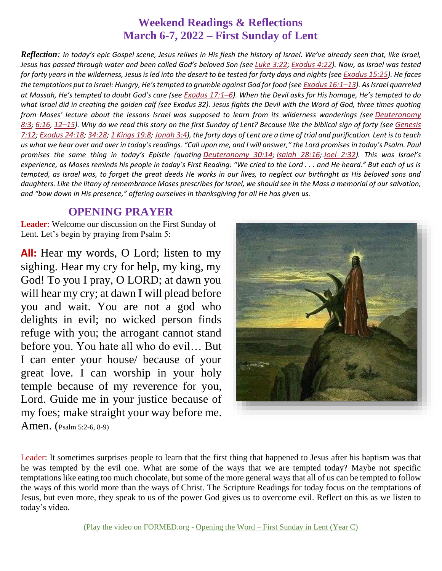### **Weekend Readings & Reflections March 6-7, 2022 – First Sunday of Lent**

*Reflection: In today's epic Gospel scene, Jesus relives in His flesh the history of Israel. We've already seen that, like Israel, Jesus has passed through water and been called God's beloved Son (see [Luke](https://biblia.com/bible/rsvce/Luke%203.22) 3:22; [Exodus](https://biblia.com/bible/rsvce/Exod%204.22) 4:22). Now, as Israel was tested for forty years in the wilderness, Jesus is led into the desert to be tested for forty days and nights (see [Exodus](https://biblia.com/bible/rsvce/Exod%2015.25) 15:25). He faces the temptations put to Israel: Hungry, He's tempted to grumble against God for food (see [Exodus](https://biblia.com/bible/rsvce/Exod%2016.1%E2%80%9313) 16:1–13). As Israel quarreled at Massah, He's tempted to doubt God's care (see [Exodus](https://biblia.com/bible/rsvce/Exod%2017.1%E2%80%936) 17:1–6). When the Devil asks for His homage, He's tempted to do what Israel did in creating the golden calf (see Exodus 32). Jesus fights the Devil with the Word of God, three times quoting from Moses' lecture about the lessons Israel was supposed to learn from its wilderness wanderings (see [Deuteronomy](https://biblia.com/bible/rsvce/Deut%208.3) [8:3](https://biblia.com/bible/rsvce/Deut%208.3); [6:16](https://biblia.com/bible/rsvce/Deuteronomy%206.16), 12–[15](https://biblia.com/bible/rsvce/Deuteronomy%206.12%E2%80%9315)). Why do we read this story on the first Sunday of Lent? Because like the biblical sign of forty (see [Genesis](https://biblia.com/bible/rsvce/Gen%207.12)* [7:12](https://biblia.com/bible/rsvce/Gen%207.12); [Exodus](https://biblia.com/bible/rsvce/Exod%2024.18) 24:18; [34:28](https://biblia.com/bible/rsvce/Exodus%2034.28); 1 [Kings](https://biblia.com/bible/rsvce/1%20Kings%2019.8) 19:8; [Jonah](https://biblia.com/bible/rsvce/Jonah%203.4) 3:4), the forty days of Lent are a time of trial and purification. Lent is to teach *us what we hear over and over in today's readings. "Call upon me, and I will answer," the Lord promises in today's Psalm. Paul promises the same thing in today's Epistle (quoting [Deuteronomy](https://biblia.com/bible/rsvce/Deut%2030.14) 30:14; [Isaiah](https://biblia.com/bible/rsvce/Isa%2028.16) 28:16; Joel [2:32](https://biblia.com/bible/rsvce/Joel%202.32)). This was Israel's experience, as Moses reminds his people in today's First Reading: "We cried to the Lord . . . and He heard." But each of us is tempted, as Israel was, to forget the great deeds He works in our lives, to neglect our birthright as His beloved sons and daughters. Like the litany of remembrance Moses prescribes for Israel, we should see in the Mass a memorial of our salvation, and "bow down in His presence," offering ourselves in thanksgiving for all He has given us.*

#### **OPENING PRAYER**

**Leader**: Welcome our discussion on the First Sunday of Lent. Let's begin by praying from Psalm 5:

**All:** Hear my words, O Lord; listen to my sighing. Hear my cry for help, my king, my God! To you I pray, O LORD; at dawn you will hear my cry; at dawn I will plead before you and wait. You are not a god who delights in evil; no wicked person finds refuge with you; the arrogant cannot stand before you. You hate all who do evil… But I can enter your house/ because of your great love. I can worship in your holy temple because of my reverence for you, Lord. Guide me in your justice because of my foes; make straight your way before me.

Amen. (Psalm 5:2-6, 8-9)

Leader: It sometimes surprises people to learn that the first thing that happened to Jesus after his baptism was that he was tempted by the evil one. What are some of the ways that we are tempted today? Maybe not specific temptations like eating too much chocolate, but some of the more general ways that all of us can be tempted to follow the ways of this world more than the ways of Christ. The Scripture Readings for today focus on the temptations of Jesus, but even more, they speak to us of the power God gives us to overcome evil. Reflect on this as we listen to today's video.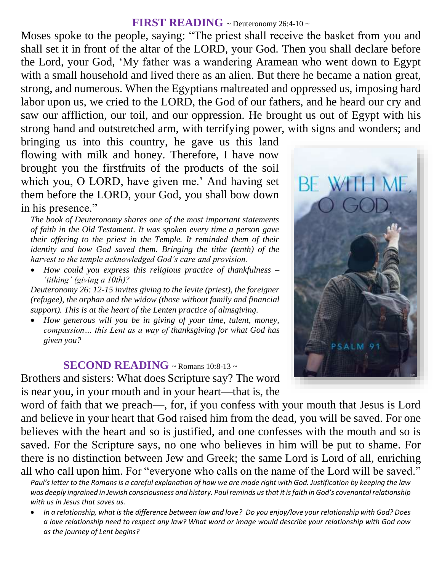#### **FIRST READING** ~ Deuteronomy 26:4-10 ~

Moses spoke to the people, saying: "The priest shall receive the basket from you and shall set it in front of the altar of the LORD, your God. Then you shall declare before the Lord, your God, 'My father was a wandering Aramean who went down to Egypt with a small household and lived there as an alien. But there he became a nation great, strong, and numerous. When the Egyptians maltreated and oppressed us, imposing hard labor upon us, we cried to the LORD, the God of our fathers, and he heard our cry and saw our affliction, our toil, and our oppression. He brought us out of Egypt with his strong hand and outstretched arm, with terrifying power, with signs and wonders; and

bringing us into this country, he gave us this land flowing with milk and honey. Therefore, I have now brought you the firstfruits of the products of the soil which you, O LORD, have given me.' And having set them before the LORD, your God, you shall bow down in his presence."

*The book of Deuteronomy shares one of the most important statements of faith in the Old Testament. It was spoken every time a person gave their offering to the priest in the Temple. It reminded them of their identity and how God saved them. Bringing the tithe (tenth) of the harvest to the temple acknowledged God's care and provision.* 

 *How could you express this religious practice of thankfulness – 'tithing' (giving a 10th)?* 

*Deuteronomy 26: 12-15 invites giving to the levite (priest), the foreigner (refugee), the orphan and the widow (those without family and financial support). This is at the heart of the Lenten practice of almsgiving.* 

 *How generous will you be in giving of your time, talent, money, compassion… this Lent as a way of thanksgiving for what God has given you?*

#### **SECOND READING**  $\sim$  Romans 10:8-13 $\sim$

Brothers and sisters: What does Scripture say? The word is near you, in your mouth and in your heart—that is, the

word of faith that we preach—, for, if you confess with your mouth that Jesus is Lord and believe in your heart that God raised him from the dead, you will be saved. For one believes with the heart and so is justified, and one confesses with the mouth and so is saved. For the Scripture says, no one who believes in him will be put to shame. For there is no distinction between Jew and Greek; the same Lord is Lord of all, enriching all who call upon him. For "everyone who calls on the name of the Lord will be saved."

Paul's letter to the Romans is a careful explanation of how we are made right with God. Justification by keeping the law *was deeply ingrained in Jewish consciousness and history. Paul reminds us that it is faith in God's covenantal relationship with us in Jesus that saves us.* 

 *In a relationship, what is the difference between law and love? Do you enjoy/love your relationship with God? Does a love relationship need to respect any law? What word or image would describe your relationship with God now as the journey of Lent begins?*

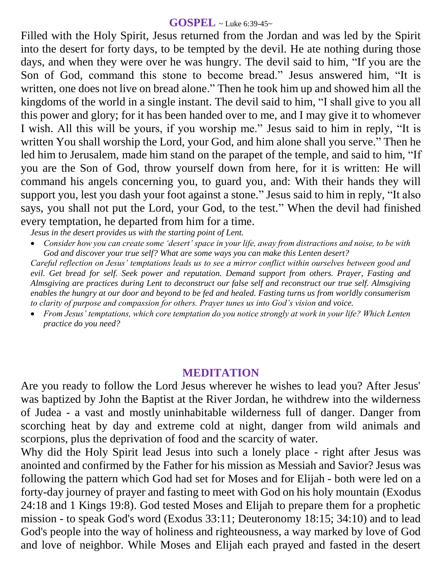#### **GOSPEL** ~ Luke 6:39-45~

Filled with the Holy Spirit, Jesus returned from the Jordan and was led by the Spirit into the desert for forty days, to be tempted by the devil. He ate nothing during those days, and when they were over he was hungry. The devil said to him, "If you are the Son of God, command this stone to become bread." Jesus answered him, "It is written, one does not live on bread alone." Then he took him up and showed him all the kingdoms of the world in a single instant. The devil said to him, "I shall give to you all this power and glory; for it has been handed over to me, and I may give it to whomever I wish. All this will be yours, if you worship me." Jesus said to him in reply, "It is written You shall worship the Lord, your God, and him alone shall you serve." Then he led him to Jerusalem, made him stand on the parapet of the temple, and said to him, "If you are the Son of God, throw yourself down from here, for it is written: He will command his angels concerning you, to guard you, and: With their hands they will support you, lest you dash your foot against a stone." Jesus said to him in reply, "It also says, you shall not put the Lord, your God, to the test." When the devil had finished every temptation, he departed from him for a time.

*Jesus in the desert provides us with the starting point of Lent.* 

 *Consider how you can create some 'desert' space in your life, away from distractions and noise, to be with God and discover your true self? What are some ways you can make this Lenten desert? Careful reflection on Jesus' temptations leads us to see a mirror conflict within ourselves between good and evil. Get bread for self. Seek power and reputation. Demand support from others. Prayer, Fasting and Almsgiving are practices during Lent to deconstruct our false self and reconstruct our true self. Almsgiving enables the hungry at our door and beyond to be fed and healed. Fasting turns us from worldly consumerism to clarity of purpose and compassion for others. Prayer tunes us into God's vision and voice.* 

 *From Jesus' temptations, which core temptation do you notice strongly at work in your life? Which Lenten practice do you need?*

## **MEDITATION**

Are you ready to follow the Lord Jesus wherever he wishes to lead you? After Jesus' was baptized by John the Baptist at the River Jordan, he withdrew into the wilderness of Judea - a vast and mostly uninhabitable wilderness full of danger. Danger from scorching heat by day and extreme cold at night, danger from wild animals and scorpions, plus the deprivation of food and the scarcity of water.

Why did the Holy Spirit lead Jesus into such a lonely place - right after Jesus was anointed and confirmed by the Father for his mission as Messiah and Savior? Jesus was following the pattern which God had set for Moses and for Elijah - both were led on a forty-day journey of prayer and fasting to meet with God on his holy mountain (Exodus 24:18 and 1 Kings 19:8). God tested Moses and Elijah to prepare them for a prophetic mission - to speak God's word (Exodus 33:11; Deuteronomy 18:15; 34:10) and to lead God's people into the way of holiness and righteousness, a way marked by love of God and love of neighbor. While Moses and Elijah each prayed and fasted in the desert